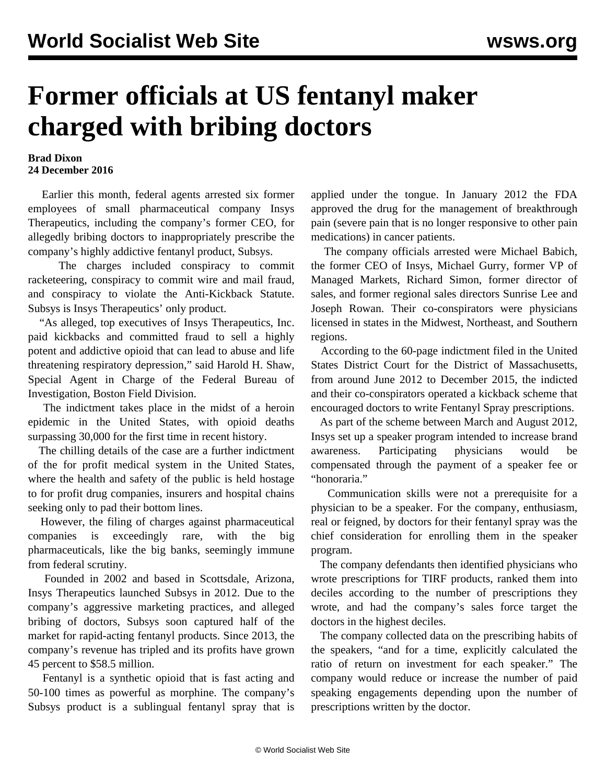## **Former officials at US fentanyl maker charged with bribing doctors**

## **Brad Dixon 24 December 2016**

 Earlier this month, federal agents arrested six former employees of small pharmaceutical company Insys Therapeutics, including the company's former CEO, for allegedly bribing doctors to inappropriately prescribe the company's highly addictive fentanyl product, Subsys.

 The charges included conspiracy to commit racketeering, conspiracy to commit wire and mail fraud, and conspiracy to violate the Anti-Kickback Statute. Subsys is Insys Therapeutics' only product.

 "As alleged, top executives of Insys Therapeutics, Inc. paid kickbacks and committed fraud to sell a highly potent and addictive opioid that can lead to abuse and life threatening respiratory depression," said Harold H. Shaw, Special Agent in Charge of the Federal Bureau of Investigation, Boston Field Division.

 The indictment takes place in the midst of a heroin epidemic in the United States, with opioid deaths surpassing 30,000 for the first time in recent history.

 The chilling details of the case are a further indictment of the for profit medical system in the United States, where the health and safety of the public is held hostage to for profit drug companies, insurers and hospital chains seeking only to pad their bottom lines.

 However, the filing of charges against pharmaceutical companies is exceedingly rare, with the big pharmaceuticals, like the big banks, seemingly immune from federal scrutiny.

 Founded in 2002 and based in Scottsdale, Arizona, Insys Therapeutics launched Subsys in 2012. Due to the company's aggressive marketing practices, and alleged bribing of doctors, Subsys soon captured half of the market for rapid-acting fentanyl products. Since 2013, the company's revenue has tripled and its profits have grown 45 percent to \$58.5 million.

 Fentanyl is a synthetic opioid that is fast acting and 50-100 times as powerful as morphine. The company's Subsys product is a sublingual fentanyl spray that is

applied under the tongue. In January 2012 the FDA approved the drug for the management of breakthrough pain (severe pain that is no longer responsive to other pain medications) in cancer patients.

 The company officials arrested were Michael Babich, the former CEO of Insys, Michael Gurry, former VP of Managed Markets, Richard Simon, former director of sales, and former regional sales directors Sunrise Lee and Joseph Rowan. Their co-conspirators were physicians licensed in states in the Midwest, Northeast, and Southern regions.

 According to the 60-page indictment filed in the United States District Court for the District of Massachusetts, from around June 2012 to December 2015, the indicted and their co-conspirators operated a kickback scheme that encouraged doctors to write Fentanyl Spray prescriptions.

 As part of the scheme between March and August 2012, Insys set up a speaker program intended to increase brand awareness. Participating physicians would be compensated through the payment of a speaker fee or "honoraria."

 Communication skills were not a prerequisite for a physician to be a speaker. For the company, enthusiasm, real or feigned, by doctors for their fentanyl spray was the chief consideration for enrolling them in the speaker program.

 The company defendants then identified physicians who wrote prescriptions for TIRF products, ranked them into deciles according to the number of prescriptions they wrote, and had the company's sales force target the doctors in the highest deciles.

 The company collected data on the prescribing habits of the speakers, "and for a time, explicitly calculated the ratio of return on investment for each speaker." The company would reduce or increase the number of paid speaking engagements depending upon the number of prescriptions written by the doctor.